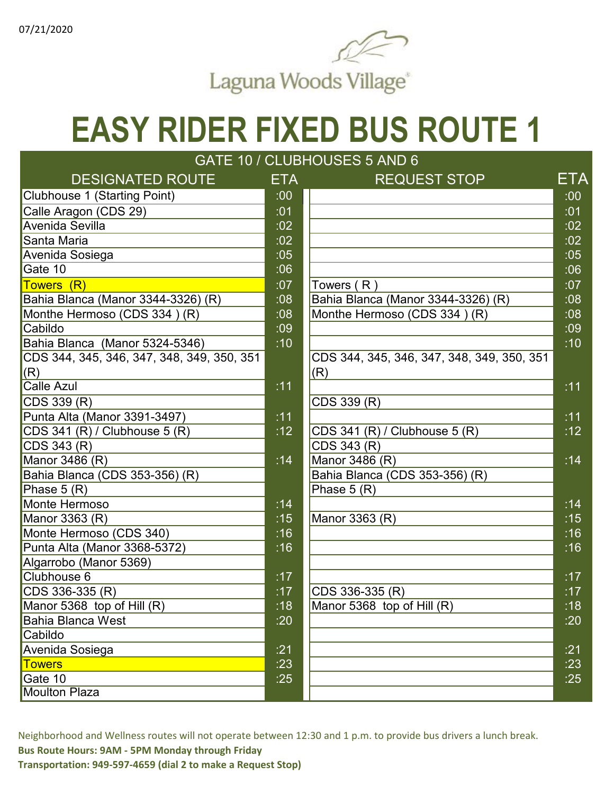

#### $\overline{\Omega}$  linies  $\overline{\Omega}$ **EASY RIDER FIXED BUS ROUTE 1**

| GATE 10 / CLUBHOUSES 5 AND 6               |            |                                            |                  |  |  |
|--------------------------------------------|------------|--------------------------------------------|------------------|--|--|
| <b>DESIGNATED ROUTE</b>                    | <b>ETA</b> | <b>REQUEST STOP</b>                        | ETA              |  |  |
| Clubhouse 1 (Starting Point)               | :00        |                                            | .001             |  |  |
| Calle Aragon (CDS 29)                      | :01        |                                            | :01              |  |  |
| Avenida Sevilla                            | :02        |                                            | :02              |  |  |
| Santa Maria                                | :02        |                                            | :02              |  |  |
| Avenida Sosiega                            | :05        |                                            | :05              |  |  |
| Gate 10                                    | :06        |                                            | :06              |  |  |
| Towers (R)                                 | :07        | Towers $(R)$                               | :07              |  |  |
| Bahia Blanca (Manor 3344-3326) (R)         | :08        | Bahia Blanca (Manor 3344-3326) (R)         | :08              |  |  |
| Monthe Hermoso (CDS 334) (R)               | :08        | Monthe Hermoso (CDS 334) (R)               | .08              |  |  |
| Cabildo                                    | :09        |                                            | :09              |  |  |
| Bahia Blanca (Manor 5324-5346)             | :10        |                                            | :10              |  |  |
| CDS 344, 345, 346, 347, 348, 349, 350, 351 |            | CDS 344, 345, 346, 347, 348, 349, 350, 351 |                  |  |  |
| (R)                                        |            | (R)                                        |                  |  |  |
| Calle Azul                                 | : 11       |                                            | :11              |  |  |
| CDS 339 (R)                                |            | CDS 339 (R)                                |                  |  |  |
| Punta Alta (Manor 3391-3497)               | :11        |                                            | :11              |  |  |
| CDS 341 (R) / Clubhouse 5 (R)              | :12        | CDS 341 (R) / Clubhouse 5 (R)              | :12              |  |  |
| CDS 343 (R)                                |            | CDS 343 (R)                                |                  |  |  |
| Manor 3486 (R)                             | :14        | Manor 3486 (R)                             | :14              |  |  |
| Bahia Blanca (CDS 353-356) (R)             |            | Bahia Blanca (CDS 353-356) (R)             |                  |  |  |
| Phase $5(R)$                               |            | Phase $5(R)$                               |                  |  |  |
| Monte Hermoso                              | :14        |                                            | :14              |  |  |
| Manor 3363 (R)                             | :15        | Manor 3363 (R)                             | $\overline{.15}$ |  |  |
| Monte Hermoso (CDS 340)                    | :16        |                                            | :16              |  |  |
| Punta Alta (Manor 3368-5372)               | :16        |                                            | :16              |  |  |
| Algarrobo (Manor 5369)                     |            |                                            |                  |  |  |
| Clubhouse 6                                | :17        |                                            | :17              |  |  |
| CDS 336-335 (R)                            | :17        | CDS 336-335 (R)                            | :17              |  |  |
| Manor 5368 top of Hill (R)                 | :18        | Manor 5368 top of Hill (R)                 | :18              |  |  |
| <b>Bahia Blanca West</b>                   | :20        |                                            | :20              |  |  |
| Cabildo                                    |            |                                            |                  |  |  |
| Avenida Sosiega                            | :21        |                                            | : 21             |  |  |
| <b>Towers</b>                              | :23        |                                            | :23              |  |  |
| Gate 10                                    | :25        |                                            | :25              |  |  |
| <b>Moulton Plaza</b>                       |            |                                            |                  |  |  |

Neighborhood and Wellness routes will not operate between 12:30 and 1 p.m. to provide bus drivers a lunch break. **Bus Route Hours: 9AM - 5PM Monday through Friday**

**Transportation: 949-597-4659 (dial 2 to make a Request Stop)**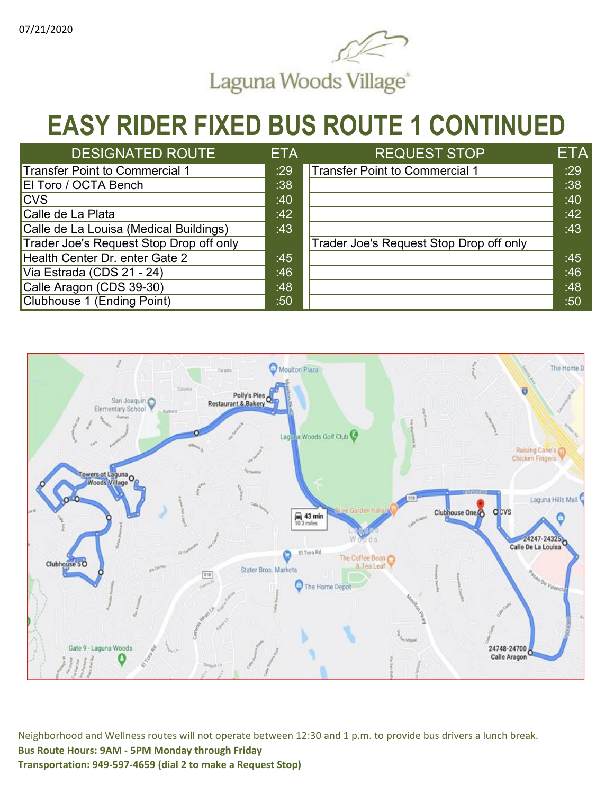

#### **EASY RIDER FIXED BUS ROUTE 1 CONTINUED**

| <b>DESIGNATED ROUTE</b>                 | <b>ETA</b> | <b>REQUEST STOP</b>                     | ETA |
|-----------------------------------------|------------|-----------------------------------------|-----|
| Transfer Point to Commercial 1          | :29        | Transfer Point to Commercial 1          | :29 |
| El Toro / OCTA Bench                    | :38        |                                         | :38 |
| <b>CVS</b>                              | :40        |                                         | :40 |
| Calle de La Plata                       | :42        |                                         | :42 |
| Calle de La Louisa (Medical Buildings)  | :43        |                                         | :43 |
| Trader Joe's Request Stop Drop off only |            | Trader Joe's Request Stop Drop off only |     |
| Health Center Dr. enter Gate 2          | :45        |                                         | :45 |
| Via Estrada (CDS 21 - 24)               | :46        |                                         | :46 |
| Calle Aragon (CDS 39-30)                | :48        |                                         | :48 |
| Clubhouse 1 (Ending Point)              | :50        |                                         | :50 |

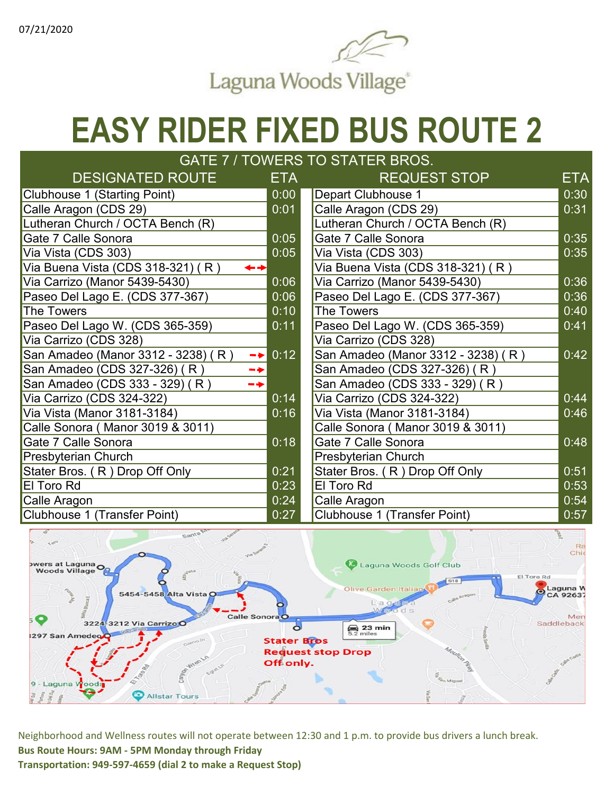

| GATE 7 / TOWERS TO STATER BROS.                     |            |                                    |            |  |  |
|-----------------------------------------------------|------------|------------------------------------|------------|--|--|
| <b>DESIGNATED ROUTE</b>                             | <b>ETA</b> | <b>REQUEST STOP</b>                | <b>ETA</b> |  |  |
| Clubhouse 1 (Starting Point)                        | 0:00       | Depart Clubhouse 1                 | 0:30       |  |  |
| Calle Aragon (CDS 29)                               | 0:01       | Calle Aragon (CDS 29)              | 0:31       |  |  |
| Lutheran Church / OCTA Bench (R)                    |            | Lutheran Church / OCTA Bench (R)   |            |  |  |
| Gate 7 Calle Sonora                                 | 0:05       | Gate 7 Calle Sonora                | 0:35       |  |  |
| Via Vista (CDS 303)                                 | 0:05       | Via Vista (CDS 303)                | 0:35       |  |  |
| Via Buena Vista (CDS 318-321) (R)                   |            | Via Buena Vista (CDS 318-321) (R)  |            |  |  |
| Via Carrizo (Manor 5439-5430)                       | 0:06       | Via Carrizo (Manor 5439-5430)      | 0:36       |  |  |
| Paseo Del Lago E. (CDS 377-367)                     | 0:06       | Paseo Del Lago E. (CDS 377-367)    | 0:36       |  |  |
| The Towers                                          | 0:10       | The Towers                         | 0:40       |  |  |
| Paseo Del Lago W. (CDS 365-359)                     | 0:11       | Paseo Del Lago W. (CDS 365-359)    | 0:41       |  |  |
| Via Carrizo (CDS 328)                               |            | Via Carrizo (CDS 328)              |            |  |  |
| San Amadeo (Manor 3312 - 3238) (R)<br>$\rightarrow$ | 0:12       | San Amadeo (Manor 3312 - 3238) (R) | 0:42       |  |  |
| San Amadeo (CDS 327-326) (R)<br>$\rightarrow$       |            | San Amadeo (CDS 327-326) (R)       |            |  |  |
| San Amadeo (CDS 333 - 329) (R)<br>- 4               |            | San Amadeo (CDS 333 - 329) (R)     |            |  |  |
| Via Carrizo (CDS 324-322)                           | 0:14       | Via Carrizo (CDS 324-322)          | 0:44       |  |  |
| Via Vista (Manor 3181-3184)                         | 0:16       | Via Vista (Manor 3181-3184)        | 0:46       |  |  |
| Calle Sonora (Manor 3019 & 3011)                    |            | Calle Sonora (Manor 3019 & 3011)   |            |  |  |
| Gate 7 Calle Sonora                                 | 0:18       | Gate 7 Calle Sonora                | 0:48       |  |  |
| Presbyterian Church                                 |            | <b>Presbyterian Church</b>         |            |  |  |
| Stater Bros. (R) Drop Off Only                      | 0:21       | Stater Bros. (R) Drop Off Only     | 0:51       |  |  |
| El Toro Rd                                          | 0:23       | El Toro Rd                         | 0:53       |  |  |
| Calle Aragon                                        | 0:24       | Calle Aragon                       | 0:54       |  |  |
| Clubhouse 1 (Transfer Point)                        | 0:27       | Clubhouse 1 (Transfer Point)       | 0:57       |  |  |

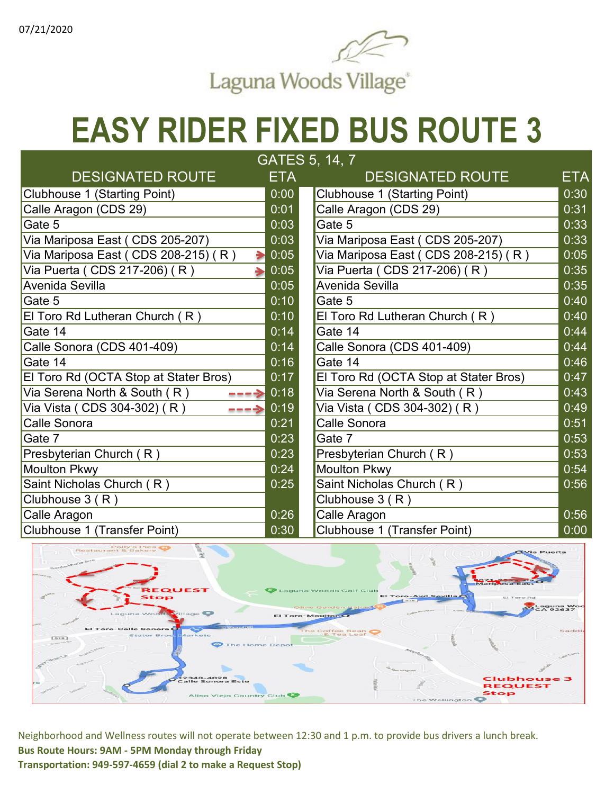

| GATES 5, 14, 7                           |            |                                        |            |  |  |
|------------------------------------------|------------|----------------------------------------|------------|--|--|
| <b>DESIGNATED ROUTE</b>                  | <b>ETA</b> | <b>DESIGNATED ROUTE</b>                | <b>ETA</b> |  |  |
| <b>Clubhouse 1 (Starting Point)</b>      | 0:00       | Clubhouse 1 (Starting Point)           | 0:30       |  |  |
| Calle Aragon (CDS 29)                    | 0:01       | Calle Aragon (CDS 29)                  | 0:31       |  |  |
| Gate 5                                   | 0:03       | Gate 5                                 | 0:33       |  |  |
| Via Mariposa East (CDS 205-207)          | 0:03       | Via Mariposa East (CDS 205-207)        | 0:33       |  |  |
| Via Mariposa East (CDS 208-215) (R)<br>⋟ | 0:05       | Via Mariposa East ( CDS 208-215) ( R ) | 0:05       |  |  |
| Via Puerta ( CDS 217-206) ( R )          | 0:05       | Via Puerta ( CDS 217-206) ( R )        | 0:35       |  |  |
| Avenida Sevilla                          | 0:05       | Avenida Sevilla                        | 0:35       |  |  |
| Gate 5                                   | 0:10       | Gate 5                                 | 0:40       |  |  |
| El Toro Rd Lutheran Church (R)           | 0:10       | El Toro Rd Lutheran Church (R)         | 0:40       |  |  |
| Gate 14                                  | 0:14       | Gate 14                                | 0:44       |  |  |
| Calle Sonora (CDS 401-409)               | 0:14       | Calle Sonora (CDS 401-409)             | 0:44       |  |  |
| Gate 14                                  | 0:16       | Gate 14                                | 0:46       |  |  |
| El Toro Rd (OCTA Stop at Stater Bros)    | 0:17       | El Toro Rd (OCTA Stop at Stater Bros)  | 0:47       |  |  |
| Via Serena North & South (R)<br>→        | 0:18       | Via Serena North & South (R)           | 0:43       |  |  |
| Via Vista ( CDS 304-302) ( R )           | 0:19       | Via Vista ( CDS 304-302) ( R )         | 0:49       |  |  |
| Calle Sonora                             | 0:21       | Calle Sonora                           | 0:51       |  |  |
| Gate 7                                   | 0:23       | Gate 7                                 | 0:53       |  |  |
| Presbyterian Church (R)                  | 0:23       | Presbyterian Church (R)                | 0:53       |  |  |
| <b>Moulton Pkwy</b>                      | 0:24       | <b>Moulton Pkwy</b>                    | 0:54       |  |  |
| Saint Nicholas Church (R)                | 0:25       | Saint Nicholas Church (R)              | 0:56       |  |  |
| Clubhouse 3 (R)                          |            | Clubhouse $3(R)$                       |            |  |  |
| Calle Aragon                             | 0:26       | Calle Aragon                           | 0:56       |  |  |
| Clubhouse 1 (Transfer Point)             | 0:30       | Clubhouse 1 (Transfer Point)           | 0:00       |  |  |

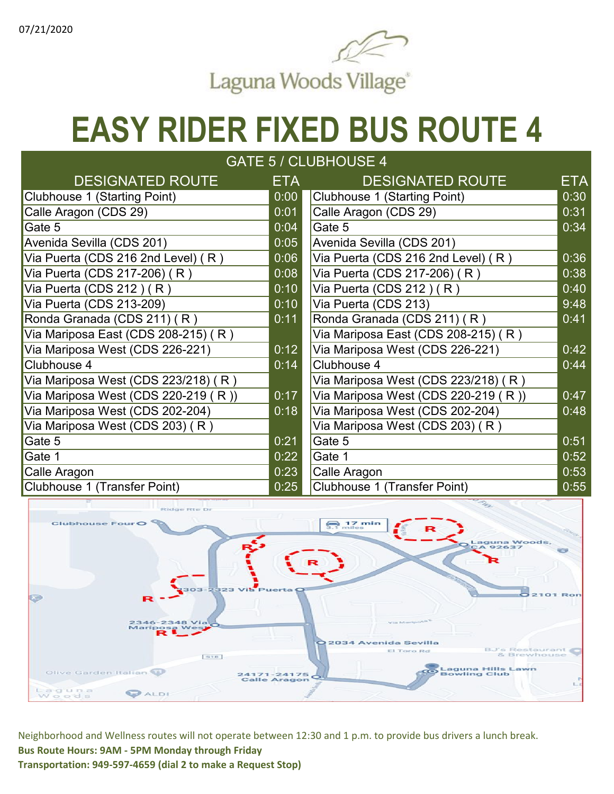

| GATE 5 / CLUBHOUSE 4                |      |                                     |                   |  |  |
|-------------------------------------|------|-------------------------------------|-------------------|--|--|
| <b>DESIGNATED ROUTE</b>             | ETA  | <b>DESIGNATED ROUTE</b>             | ETA               |  |  |
| Clubhouse 1 (Starting Point)        | 0:00 | Clubhouse 1 (Starting Point)        | 0:30              |  |  |
| Calle Aragon (CDS 29)               | 0:01 | Calle Aragon (CDS 29)               | 0:31              |  |  |
| Gate 5                              | 0:04 | Gate 5                              | 0:34              |  |  |
| Avenida Sevilla (CDS 201)           | 0:05 | Avenida Sevilla (CDS 201)           |                   |  |  |
| Via Puerta (CDS 216 2nd Level) (R)  | 0:06 | Via Puerta (CDS 216 2nd Level) (R)  | 0:36              |  |  |
| Via Puerta (CDS 217-206) (R)        | 0:08 | Via Puerta (CDS 217-206) (R)        | 0:38              |  |  |
| Via Puerta (CDS 212) $(R)$          | 0:10 | Via Puerta (CDS 212) (R)            | $\overline{0:}40$ |  |  |
| Via Puerta (CDS 213-209)            | 0:10 | Via Puerta (CDS 213)                | 9:48              |  |  |
| Ronda Granada (CDS 211) (R)         | 0:11 | Ronda Granada (CDS 211) (R)         | 0:41              |  |  |
| Via Mariposa East (CDS 208-215) (R) |      | Via Mariposa East (CDS 208-215) (R) |                   |  |  |
| Via Mariposa West (CDS 226-221)     | 0:12 | Via Mariposa West (CDS 226-221)     | 0:42              |  |  |
| Clubhouse 4                         | 0:14 | Clubhouse 4                         | 0:44              |  |  |
| Via Mariposa West (CDS 223/218) (R) |      | Via Mariposa West (CDS 223/218) (R) |                   |  |  |
| Via Mariposa West (CDS 220-219 (R)) | 0:17 | Via Mariposa West (CDS 220-219 (R)) | 0:47              |  |  |
| Via Mariposa West (CDS 202-204)     | 0:18 | Via Mariposa West (CDS 202-204)     | 0:48              |  |  |
| Via Mariposa West (CDS 203) (R)     |      | Via Mariposa West (CDS 203) (R)     |                   |  |  |
| Gate 5                              | 0:21 | Gate 5                              | 0:51              |  |  |
| Gate 1                              | 0:22 | Gate 1                              | 0:52              |  |  |
| Calle Aragon                        | 0:23 | Calle Aragon                        | 0:53              |  |  |
| Clubhouse 1 (Transfer Point)        | 0:25 | Clubhouse 1 (Transfer Point)        | 0:55              |  |  |

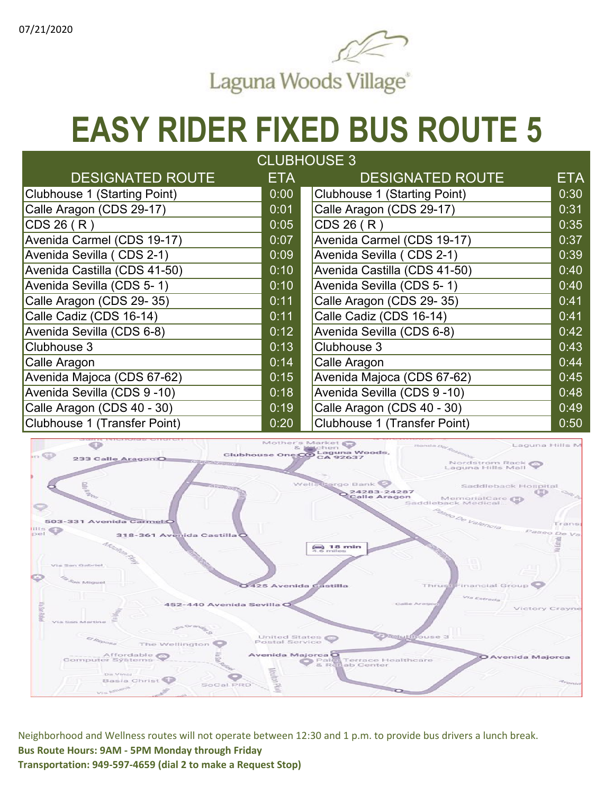

| <b>CLUBHOUSE 3</b>           |      |                              |            |  |  |  |
|------------------------------|------|------------------------------|------------|--|--|--|
| <b>DESIGNATED ROUTE</b>      | ETA  | <b>DESIGNATED ROUTE</b>      | <b>ETA</b> |  |  |  |
| Clubhouse 1 (Starting Point) | 0:00 | Clubhouse 1 (Starting Point) | 0:30       |  |  |  |
| Calle Aragon (CDS 29-17)     | 0:01 | Calle Aragon (CDS 29-17)     | 0:31       |  |  |  |
| CDS 26 (R)                   | 0:05 | CDS 26 (R)                   | 0:35       |  |  |  |
| Avenida Carmel (CDS 19-17)   | 0:07 | Avenida Carmel (CDS 19-17)   | 0:37       |  |  |  |
| Avenida Sevilla (CDS 2-1)    | 0:09 | Avenida Sevilla (CDS 2-1)    | 0:39       |  |  |  |
| Avenida Castilla (CDS 41-50) | 0:10 | Avenida Castilla (CDS 41-50) | 0:40       |  |  |  |
| Avenida Sevilla (CDS 5-1)    | 0:10 | Avenida Sevilla (CDS 5-1)    | 0:40       |  |  |  |
| Calle Aragon (CDS 29-35)     | 0:11 | Calle Aragon (CDS 29-35)     | 0:41       |  |  |  |
| Calle Cadiz (CDS 16-14)      | 0:11 | Calle Cadiz (CDS 16-14)      | 0:41       |  |  |  |
| Avenida Sevilla (CDS 6-8)    | 0:12 | Avenida Sevilla (CDS 6-8)    | 0:42       |  |  |  |
| Clubhouse 3                  | 0:13 | Clubhouse 3                  | 0:43       |  |  |  |
| Calle Aragon                 | 0:14 | Calle Aragon                 | 0:44       |  |  |  |
| Avenida Majoca (CDS 67-62)   | 0:15 | Avenida Majoca (CDS 67-62)   | 0:45       |  |  |  |
| Avenida Sevilla (CDS 9-10)   | 0:18 | Avenida Sevilla (CDS 9-10)   | 0:48       |  |  |  |
| Calle Aragon (CDS 40 - 30)   | 0:19 | Calle Aragon (CDS 40 - 30)   | 0:49       |  |  |  |
| Clubhouse 1 (Transfer Point) | 0:20 | Clubhouse 1 (Transfer Point) | 0:50       |  |  |  |

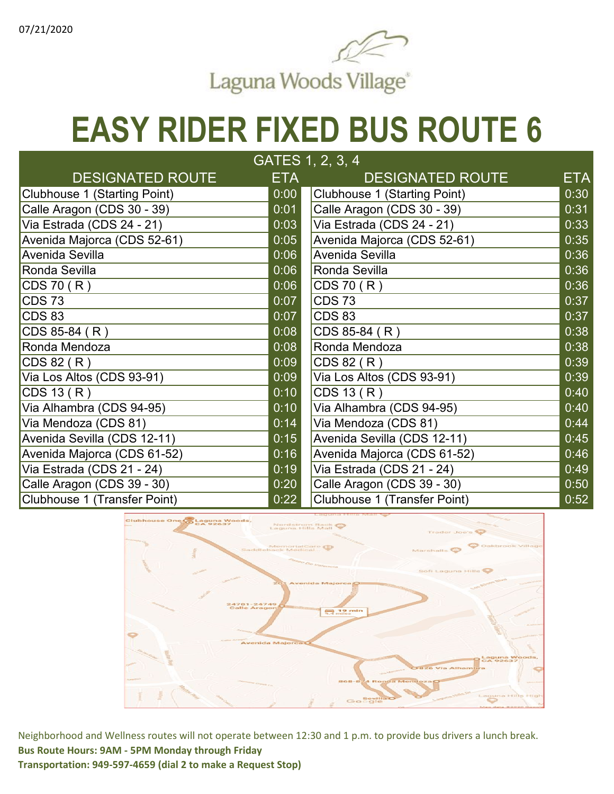

| GATES 1, 2, 3, 4             |            |                              |            |  |  |
|------------------------------|------------|------------------------------|------------|--|--|
| <b>DESIGNATED ROUTE</b>      | <b>ETA</b> | <b>DESIGNATED ROUTE</b>      | <b>ETA</b> |  |  |
| Clubhouse 1 (Starting Point) | 0:00       | Clubhouse 1 (Starting Point) | 0:30       |  |  |
| Calle Aragon (CDS 30 - 39)   | 0:01       | Calle Aragon (CDS 30 - 39)   | 0:31       |  |  |
| Via Estrada (CDS 24 - 21)    | 0:03       | Via Estrada (CDS 24 - 21)    | 0:33       |  |  |
| Avenida Majorca (CDS 52-61)  | 0:05       | Avenida Majorca (CDS 52-61)  | 0:35       |  |  |
| Avenida Sevilla              | 0:06       | Avenida Sevilla              | 0:36       |  |  |
| Ronda Sevilla                | 0:06       | Ronda Sevilla                | 0:36       |  |  |
| CDS70(R)                     | 0:06       | CDS70(R)                     | 0:36       |  |  |
| $COS$ 73                     | 0:07       | <b>CDS73</b>                 | 0:37       |  |  |
| $COS$ 83                     | 0:07       | <b>CDS 83</b>                | 0:37       |  |  |
| $CDS 85-84 (R)$              | 0:08       | CDS 85-84 (R)                | 0:38       |  |  |
| Ronda Mendoza                | 0:08       | Ronda Mendoza                | 0:38       |  |  |
| CDS 82 (R)                   | 0:09       | CDS 82 (R)                   | 0:39       |  |  |
| Via Los Altos (CDS 93-91)    | 0:09       | Via Los Altos (CDS 93-91)    | 0:39       |  |  |
| CDS 13 (R)                   | 0:10       | CDS 13 (R)                   | 0:40       |  |  |
| Via Alhambra (CDS 94-95)     | 0:10       | Via Alhambra (CDS 94-95)     | 0:40       |  |  |
| Via Mendoza (CDS 81)         | 0:14       | Via Mendoza (CDS 81)         | 0:44       |  |  |
| Avenida Sevilla (CDS 12-11)  | 0:15       | Avenida Sevilla (CDS 12-11)  | 0:45       |  |  |
| Avenida Majorca (CDS 61-52)  | 0:16       | Avenida Majorca (CDS 61-52)  | 0:46       |  |  |
| Via Estrada (CDS 21 - 24)    | 0:19       | Via Estrada (CDS 21 - 24)    | 0:49       |  |  |
| Calle Aragon (CDS 39 - 30)   | 0:20       | Calle Aragon (CDS 39 - 30)   | 0:50       |  |  |
| Clubhouse 1 (Transfer Point) | 0:22       | Clubhouse 1 (Transfer Point) | 0:52       |  |  |

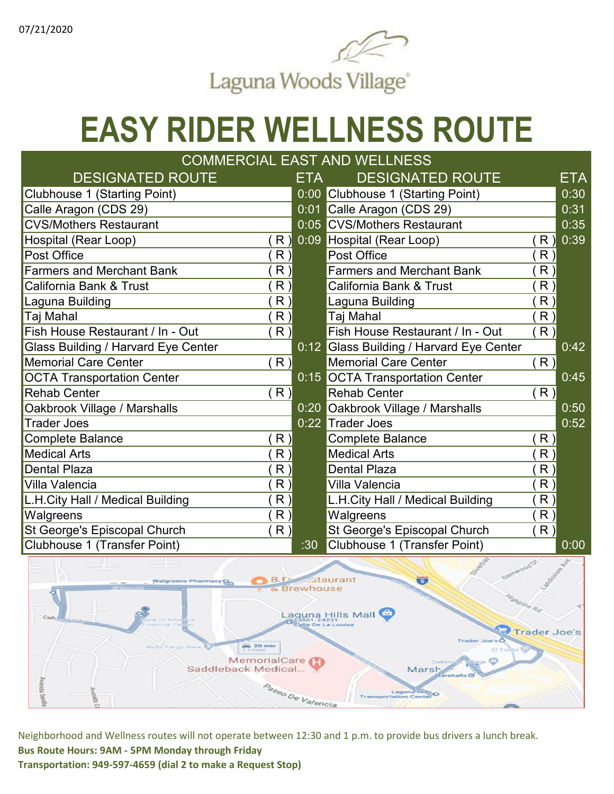

## **EASY RIDER WELLNESS ROUTE**

#### DESIGNATED ROUTE ETA DESIGNATED ROUTE ETA Clubhouse 1 (Starting Point) 0:00 Clubhouse 1 (Starting Point)<br>Calle Aragon (CDS 29) 0:01 Calle Aragon (CDS 29) 0:01 Calle Aragon (CDS 29) 0:31 CVS/Mothers Restaurant 0:05 CVS/Mothers Restaurant 0:35 Hospital (Rear Loop) ( R ) 0:09 Hospital (Rear Loop) ( R ) 0:39 Post Office ( R ) Post Office ( R ) Farmers and Merchant Bank (R) Farmers and Merchant Bank (R) California Bank & Trust (R ) California Bank & Trust (R ) California Bank & Trust (R )<br>Laguna Building (R ) Laguna Building (R ) Laguna Building ( R ) Laguna Building ( R ) Taj Mahal ( R ) Taj Mahal ( R ) Fish House Restaurant / In - Out  $(R)$  Fish House Restaurant / In - Out (R) Glass Building / Harvard Eye Center **0:12** Glass Building / Harvard Eye Center 0:42 Memorial Care Center  $(R)$  ( R ) Memorial Care Center ( R ) OCTA Transportation Center **1988** October 10:15 OCTA Transportation Center **0:45** Rehab Center ( R ) Rehab Center ( R ) Oakbrook Village / Marshalls 0:20 Oakbrook Village / Marshalls 0:50 Trader Joes 0:22 Trader Joes 0:52 Complete Balance ( R ) Complete Balance ( R ) Complete Balance ( R ) Medical Arts  $({\sf R}\,)$  Medical Arts  $({\sf R}\,)$  Medical Arts  $({\sf R}\,)$ Dental Plaza ( R ) Dental Plaza ( R ) Villa Valencia ( R ) Villa Valencia ( R ) L.H.City Hall / Medical Building ( R ) L.H.City Hall / Medical Building ( R ) Walgreens (R ) Walgreens (R ) (R ) (R ) (R ) St George's Episcopal Church ( R ) St George's Episcopal Church ( R ) St George's Episcopal Church ( R ) ( R )<br>Clubhouse 1 (Transfer Point) 30 Clubhouse 1 (Transfer Point) Clubhouse 1 (Transfer Point) :30 Clubhouse 1 (Transfer Point) 0:00 COMMERCIAL EAST AND WELLNESS

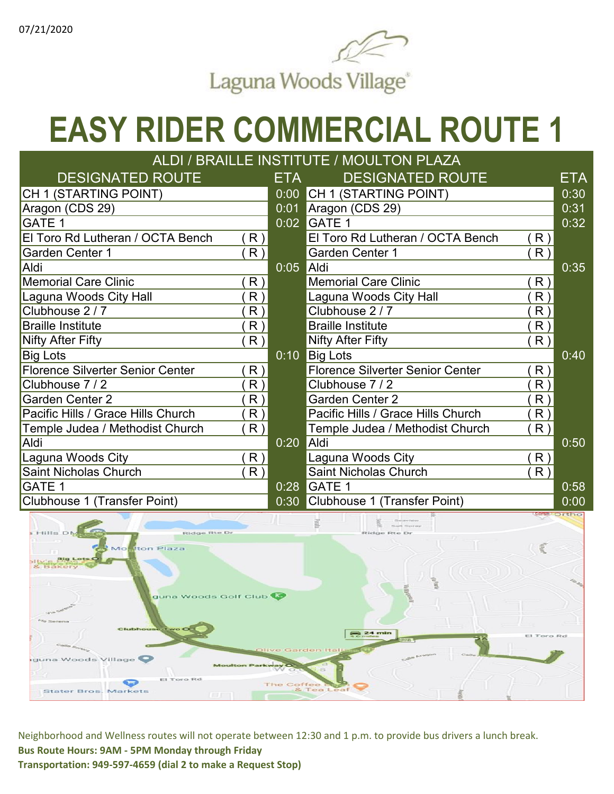

## **EASY RIDER COMMERCIAL ROUTE 1**

| ALDI / BRAILLE INSTITUTE / MOULTON PLAZA |    |             |                                         |                |                  |  |
|------------------------------------------|----|-------------|-----------------------------------------|----------------|------------------|--|
| <b>DESIGNATED ROUTE</b>                  |    | ETA         | <b>DESIGNATED ROUTE</b>                 |                | ETA              |  |
| CH 1 (STARTING POINT)                    |    | 0:00        | CH 1 (STARTING POINT)                   |                | 0:30             |  |
| Aragon (CDS 29)                          |    | 0:01        | Aragon (CDS 29)                         |                | 0:31             |  |
| GATE 1                                   |    | 0:02        | <b>GATE 1</b>                           |                | 0:32             |  |
| El Toro Rd Lutheran / OCTA Bench         | R) |             | El Toro Rd Lutheran / OCTA Bench        | R)             |                  |  |
| Garden Center 1                          | R) |             | Garden Center 1                         | R)             |                  |  |
| Aldi                                     |    | 0:05        | Aldi                                    |                | 0:35             |  |
| <b>Memorial Care Clinic</b>              | R) |             | <b>Memorial Care Clinic</b>             | R)             |                  |  |
| Laguna Woods City Hall                   | R) |             | Laguna Woods City Hall                  | R              |                  |  |
| Clubhouse 2/7                            | R) |             | Clubhouse 2 / 7                         | R              |                  |  |
| <b>Braille Institute</b>                 | R) |             | <b>Braille Institute</b>                | R              |                  |  |
| Nifty After Fifty                        | R) |             | Nifty After Fifty                       | R)             |                  |  |
| <b>Big Lots</b>                          |    | $0:10^{-7}$ | <b>Big Lots</b>                         |                | 0:40             |  |
| <b>Florence Silverter Senior Center</b>  | R) |             | <b>Florence Silverter Senior Center</b> | R)             |                  |  |
| Clubhouse 7/2                            | R) |             | Clubhouse 7 / 2                         | R              |                  |  |
| Garden Center 2                          | R) |             | <b>Garden Center 2</b>                  | R              |                  |  |
| Pacific Hills / Grace Hills Church       | R) |             | Pacific Hills / Grace Hills Church      | R <sub>1</sub> |                  |  |
| Temple Judea / Methodist Church          | R) |             | Temple Judea / Methodist Church         | R <sub>1</sub> |                  |  |
| Aldi                                     |    | 0:20        | Aldi                                    |                | 0:50             |  |
| Laguna Woods City                        | R) |             | Laguna Woods City                       | R)             |                  |  |
| <b>Saint Nicholas Church</b>             | R) |             | Saint Nicholas Church                   | R)             |                  |  |
| GATE 1                                   |    | 0:28        | <b>GATE 1</b>                           |                | 0:58             |  |
| Clubhouse 1 (Transfer Point)             |    | 0:30        | Clubhouse 1 (Transfer Point)            |                | 0:00             |  |
|                                          |    |             |                                         |                | <b>Orthology</b> |  |